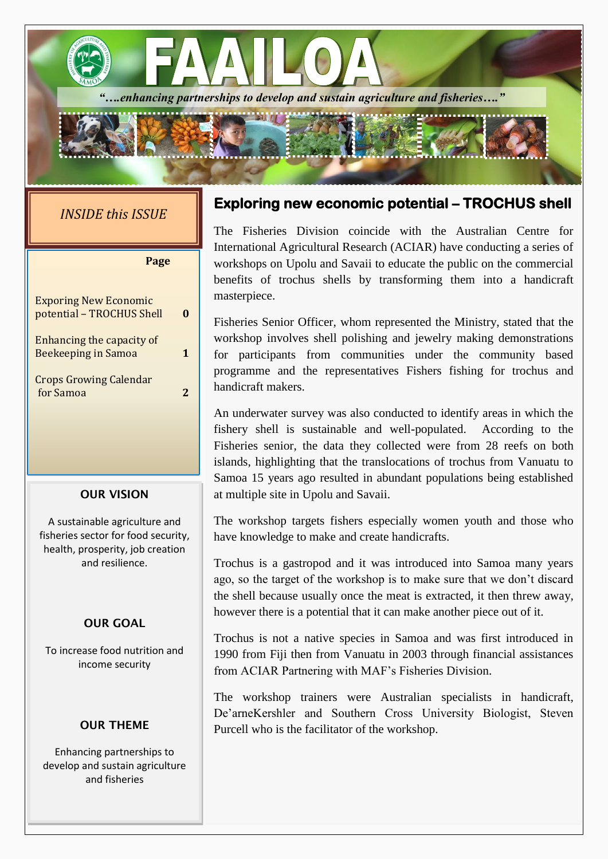

# *INSIDE this ISSUE*

| Page                                                    |   |  |
|---------------------------------------------------------|---|--|
| <b>Exporing New Economic</b>                            |   |  |
| potential - TROCHUS Shell                               |   |  |
| Enhancing the capacity of<br><b>Beekeeping in Samoa</b> |   |  |
| <b>Crops Growing Calendar</b><br>for Samoa              | 2 |  |

## **OUR VISION**

A sustainable agriculture and fisheries sector for food security, health, prosperity, job creation and resilience.

## **OUR GOAL**

To increase food nutrition and income security

#### **OUR THEME**

Enhancing partnerships to develop and sustain agriculture and fisheries

# **Exploring new economic potential – TROCHUS shell**

The Fisheries Division coincide with the Australian Centre for International Agricultural Research (ACIAR) have conducting a series of workshops on Upolu and Savaii to educate the public on the commercial benefits of trochus shells by transforming them into a handicraft masterpiece.

Fisheries Senior Officer, whom represented the Ministry, stated that the workshop involves shell polishing and jewelry making demonstrations for participants from communities under the community based programme and the representatives Fishers fishing for trochus and handicraft makers.

An underwater survey was also conducted to identify areas in which the fishery shell is sustainable and well-populated. According to the Fisheries senior, the data they collected were from 28 reefs on both islands, highlighting that the translocations of trochus from Vanuatu to Samoa 15 years ago resulted in abundant populations being established at multiple site in Upolu and Savaii.

The workshop targets fishers especially women youth and those who have knowledge to make and create handicrafts.

Trochus is a gastropod and it was introduced into Samoa many years ago, so the target of the workshop is to make sure that we don't discard the shell because usually once the meat is extracted, it then threw away, however there is a potential that it can make another piece out of it.

Trochus is not a native species in Samoa and was first introduced in 1990 from Fiji then from Vanuatu in 2003 through financial assistances from ACIAR Partnering with MAF's Fisheries Division.

The workshop trainers were Australian specialists in handicraft, De'arneKershler and Southern Cross University Biologist, Steven Purcell who is the facilitator of the workshop.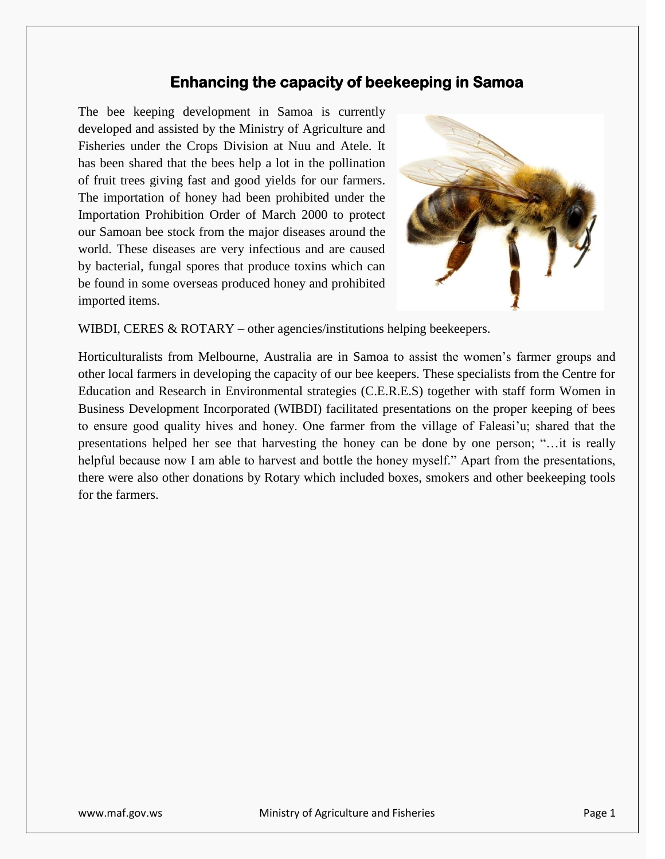## **Enhancing the capacity of beekeeping in Samoa**

The bee keeping development in Samoa is currently developed and assisted by the Ministry of Agriculture and Fisheries under the Crops Division at Nuu and Atele. It has been shared that the bees help a lot in the pollination of fruit trees giving fast and good yields for our farmers. The importation of honey had been prohibited under the Importation Prohibition Order of March 2000 to protect our Samoan bee stock from the major diseases around the world. These diseases are very infectious and are caused by bacterial, fungal spores that produce toxins which can be found in some overseas produced honey and prohibited imported items.



WIBDI, CERES  $&$  ROTARY – other agencies/institutions helping beekeepers.

Horticulturalists from Melbourne, Australia are in Samoa to assist the women's farmer groups and other local farmers in developing the capacity of our bee keepers. These specialists from the Centre for Education and Research in Environmental strategies (C.E.R.E.S) together with staff form Women in Business Development Incorporated (WIBDI) facilitated presentations on the proper keeping of bees to ensure good quality hives and honey. One farmer from the village of Faleasi'u; shared that the presentations helped her see that harvesting the honey can be done by one person; "…it is really helpful because now I am able to harvest and bottle the honey myself." Apart from the presentations, there were also other donations by Rotary which included boxes, smokers and other beekeeping tools for the farmers.